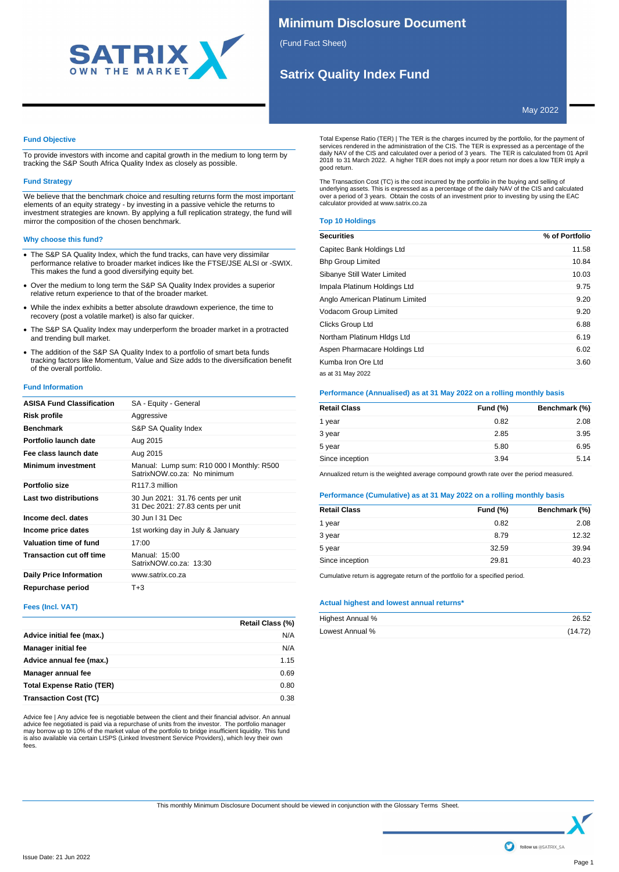

## **Minimum Disclosure Document**

(Fund Fact Sheet)

# **Satrix Quality Index Fund**

May 2022

## **Fund Objective**

To provide investors with income and capital growth in the medium to long term by tracking the S&P South Africa Quality Index as closely as possible.

## **Fund Strategy**

We believe that the benchmark choice and resulting returns form the most important elements of an equity strategy - by investing in a passive vehicle the returns to investment strategies are known. By applying a full replication strategy, the fund will mirror the composition of the chosen benchmark.

## **Why choose this fund?**

- · The S&P SA Quality Index, which the fund tracks, can have very dissimilar performance relative to broader market indices like the FTSE/JSE ALSI or -SWIX. This makes the fund a good diversifying equity bet.
- · Over the medium to long term the S&P SA Quality Index provides a superior relative return experience to that of the broader market.
- · While the index exhibits a better absolute drawdown experience, the time to recovery (post a volatile market) is also far quicker.
- · The S&P SA Quality Index may underperform the broader market in a protracted and trending bull market.
- · The addition of the S&P SA Quality Index to a portfolio of smart beta funds tracking factors like Momentum, Value and Size adds to the diversification benefit of the overall portfolio.

## **Fund Information**

| <b>ASISA Fund Classification</b> | SA - Equity - General                                                    |
|----------------------------------|--------------------------------------------------------------------------|
| Risk profile                     | Aggressive                                                               |
| <b>Benchmark</b>                 | S&P SA Quality Index                                                     |
| Portfolio launch date            | Aug 2015                                                                 |
| Fee class launch date            | Aug 2015                                                                 |
| <b>Minimum investment</b>        | Manual: Lump sum: R10 000   Monthly: R500<br>SatrixNOW.co.za: No minimum |
| Portfolio size                   | R117.3 million                                                           |
| Last two distributions           | 30 Jun 2021: 31.76 cents per unit<br>31 Dec 2021: 27.83 cents per unit   |
| Income decl. dates               | 30 Jun   31 Dec                                                          |
| Income price dates               | 1st working day in July & January                                        |
| Valuation time of fund           | 17:00                                                                    |
| <b>Transaction cut off time</b>  | Manual: $15:00$<br>SatrixNOW.co.za: 13:30                                |
| <b>Daily Price Information</b>   | www.satrix.co.za                                                         |
| Repurchase period                | T+3                                                                      |

## **Fees (Incl. VAT)**

|                                  | Retail Class (%) |
|----------------------------------|------------------|
| Advice initial fee (max.)        | N/A              |
| <b>Manager initial fee</b>       | N/A              |
| Advice annual fee (max.)         | 1.15             |
| Manager annual fee               | 0.69             |
| <b>Total Expense Ratio (TER)</b> | 0.80             |
| <b>Transaction Cost (TC)</b>     | 0.38             |

Advice fee | Any advice fee is negotiable between the client and their financial advisor. An annual advice fee negotiated is paid via a repurchase of units from the investor. The portfolio manager may borrow up to 10% of the market value of the portfolio to bridge insufficient liquidity. This fund is also available via certain LISPS (Linked Investment Service Providers), which levy their own fees.

Total Expense Ratio (TER) | The TER is the charges incurred by the portfolio, for the payment of<br>services rendered in the administration of the CIS. The TER is expressed as a percentage of the<br>daily NAV of the CIS and calc good return.

The Transaction Cost (TC) is the cost incurred by the portfolio in the buying and selling of underlying assets. This is expressed as a percentage of the daily NAV of the CIS and calculated over a period of 3 years. Obtain the costs of an investment prior to investing by using the EAC calculator provided at www.satrix.co.za

## **Top 10 Holdings**

| <b>Securities</b>               | % of Portfolio |
|---------------------------------|----------------|
| Capitec Bank Holdings Ltd       | 11.58          |
| <b>Bhp Group Limited</b>        | 10.84          |
| Sibanye Still Water Limited     | 10.03          |
| Impala Platinum Holdings Ltd    | 9.75           |
| Anglo American Platinum Limited | 9.20           |
| Vodacom Group Limited           | 9.20           |
| Clicks Group Ltd                | 6.88           |
| Northam Platinum Hidgs Ltd      | 6.19           |
| Aspen Pharmacare Holdings Ltd   | 6.02           |
| Kumba Iron Ore Ltd              | 3.60           |
| as at 31 May 2022               |                |

## **Performance (Annualised) as at 31 May 2022 on a rolling monthly basis**

| <b>Retail Class</b> | <b>Fund (%)</b> | Benchmark (%) |
|---------------------|-----------------|---------------|
| 1 year              | 0.82            | 2.08          |
| 3 year              | 2.85            | 3.95          |
| 5 year              | 5.80            | 6.95          |
| Since inception     | 3.94            | 5.14          |

Annualized return is the weighted average compound growth rate over the period measured.

## **Performance (Cumulative) as at 31 May 2022 on a rolling monthly basis**

| <b>Retail Class</b> | Fund $(\%)$ | Benchmark (%) |
|---------------------|-------------|---------------|
| 1 year              | 0.82        | 2.08          |
| 3 year              | 8.79        | 12.32         |
| 5 year              | 32.59       | 39.94         |
| Since inception     | 29.81       | 40.23         |
|                     |             |               |

Cumulative return is aggregate return of the portfolio for a specified period.

#### **Actual highest and lowest annual returns\***

| Highest Annual % | 26.52   |
|------------------|---------|
| Lowest Annual %  | (14.72) |

This monthly Minimum Disclosure Document should be viewed in conjunction with the Glossary Terms Sheet.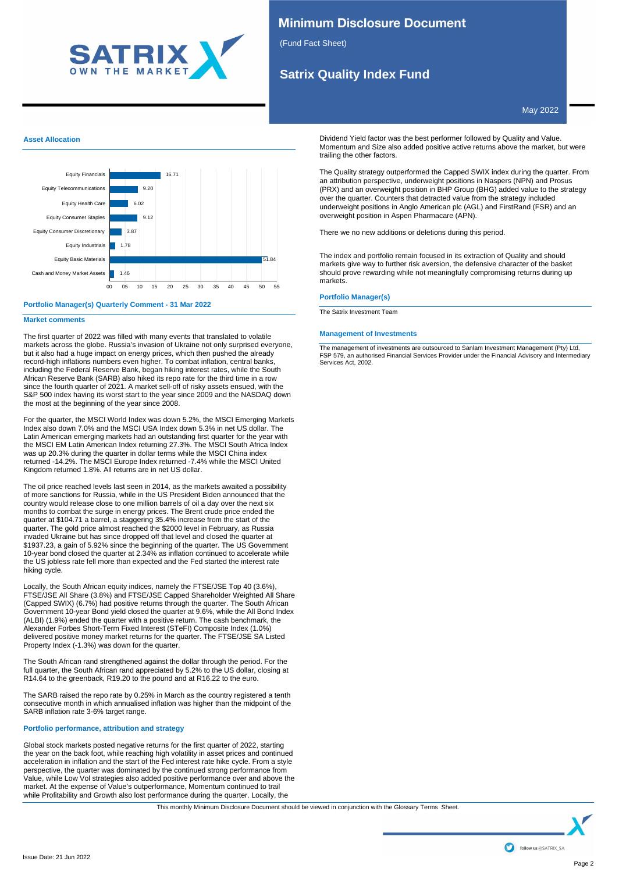

## **Minimum Disclosure Document**

(Fund Fact Sheet)

# **Satrix Quality Index Fund**

May 2022

## **Asset Allocation**



## **Portfolio Manager(s) Quarterly Comment - 31 Mar 2022**

## **Market comments**

The first quarter of 2022 was filled with many events that translated to volatile markets across the globe. Russia's invasion of Ukraine not only surprised everyone, but it also had a huge impact on energy prices, which then pushed the already record-high inflations numbers even higher. To combat inflation, central banks, including the Federal Reserve Bank, began hiking interest rates, while the South African Reserve Bank (SARB) also hiked its repo rate for the third time in a row since the fourth quarter of 2021. A market sell-off of risky assets ensued, with the S&P 500 index having its worst start to the year since 2009 and the NASDAQ down the most at the beginning of the year since 2008.

For the quarter, the MSCI World Index was down 5.2%, the MSCI Emerging Markets Index also down 7.0% and the MSCI USA Index down 5.3% in net US dollar. The Latin American emerging markets had an outstanding first quarter for the year with the MSCI EM Latin American Index returning 27.3%. The MSCI South Africa Index was up 20.3% during the quarter in dollar terms while the MSCI China index returned -14.2%. The MSCI Europe Index returned -7.4% while the MSCI United Kingdom returned 1.8%. All returns are in net US dollar.

The oil price reached levels last seen in 2014, as the markets awaited a possibility of more sanctions for Russia, while in the US President Biden announced that the country would release close to one million barrels of oil a day over the next six months to combat the surge in energy prices. The Brent crude price ended the quarter at \$104.71 a barrel, a staggering 35.4% increase from the start of the quarter. The gold price almost reached the \$2000 level in February, as Russia invaded Ukraine but has since dropped off that level and closed the quarter at \$1937.23, a gain of 5.92% since the beginning of the quarter. The US Government 10-year bond closed the quarter at 2.34% as inflation continued to accelerate while the US jobless rate fell more than expected and the Fed started the interest rate hiking cycle.

Locally, the South African equity indices, namely the FTSE/JSE Top 40 (3.6%), FTSE/JSE All Share (3.8%) and FTSE/JSE Capped Shareholder Weighted All Share (Capped SWIX) (6.7%) had positive returns through the quarter. The South African Government 10-year Bond yield closed the quarter at 9.6%, while the All Bond Index (ALBI) (1.9%) ended the quarter with a positive return. The cash benchmark, the Alexander Forbes Short-Term Fixed Interest (STeFI) Composite Index (1.0%) delivered positive money market returns for the quarter. The FTSE/JSE SA Listed Property Index (-1.3%) was down for the quarter.

The South African rand strengthened against the dollar through the period. For the full quarter, the South African rand appreciated by 5.2% to the US dollar, closing at R14.64 to the greenback, R19.20 to the pound and at R16.22 to the euro.

The SARB raised the repo rate by 0.25% in March as the country registered a tenth consecutive month in which annualised inflation was higher than the midpoint of the SARB inflation rate 3-6% target range.

## **Portfolio performance, attribution and strategy**

Global stock markets posted negative returns for the first quarter of 2022, starting the year on the back foot, while reaching high volatility in asset prices and continued acceleration in inflation and the start of the Fed interest rate hike cycle. From a style perspective, the quarter was dominated by the continued strong performance from Value, while Low Vol strategies also added positive performance over and above the market. At the expense of Value's outperformance, Momentum continued to trail while Profitability and Growth also lost performance during the quarter. Locally, the

Dividend Yield factor was the best performer followed by Quality and Value. Momentum and Size also added positive active returns above the market, but were trailing the other factors.

The Quality strategy outperformed the Capped SWIX index during the quarter. From an attribution perspective, underweight positions in Naspers (NPN) and Prosus (PRX) and an overweight position in BHP Group (BHG) added value to the strategy over the quarter. Counters that detracted value from the strategy included underweight positions in Anglo American plc (AGL) and FirstRand (FSR) and an overweight position in Aspen Pharmacare (APN).

There we no new additions or deletions during this period.

The index and portfolio remain focused in its extraction of Quality and should markets give way to further risk aversion, the defensive character of the basket should prove rewarding while not meaningfully compromising returns during up markets.

## **Portfolio Manager(s)**

The Satrix Investment Team

## **Management of Investments**

The management of investments are outsourced to Sanlam Investment Management (Pty) Ltd, FSP 579, an authorised Financial Services Provider under the Financial Advisory and Intermediary Services Act, 2002.

This monthly Minimum Disclosure Document should be viewed in conjunction with the Glossary Terms Sheet.